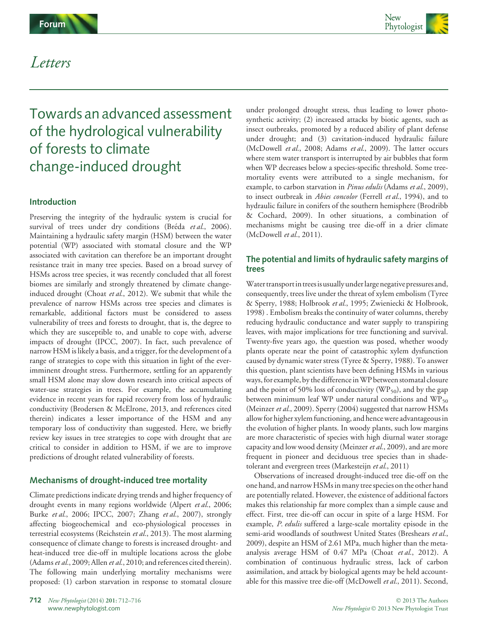

# Letters

# Towards an advanced assessment of the hydrological vulnerability of forests to climate change-induced drought

#### Introduction

Preserving the integrity of the hydraulic system is crucial for survival of trees under dry conditions (Bréda et al., 2006). Maintaining a hydraulic safety margin (HSM) between the water potential (WP) associated with stomatal closure and the WP associated with cavitation can therefore be an important drought resistance trait in many tree species. Based on a broad survey of HSMs across tree species, it was recently concluded that all forest biomes are similarly and strongly threatened by climate changeinduced drought (Choat et al., 2012). We submit that while the prevalence of narrow HSMs across tree species and climates is remarkable, additional factors must be considered to assess vulnerability of trees and forests to drought, that is, the degree to which they are susceptible to, and unable to cope with, adverse impacts of drought (IPCC, 2007). In fact, such prevalence of narrow HSM is likely a basis, and a trigger, for the development of a range of strategies to cope with this situation in light of the everimminent drought stress. Furthermore, settling for an apparently small HSM alone may slow down research into critical aspects of water-use strategies in trees. For example, the accumulating evidence in recent years for rapid recovery from loss of hydraulic conductivity (Brodersen & McElrone, 2013, and references cited therein) indicates a lesser importance of the HSM and any temporary loss of conductivity than suggested. Here, we briefly review key issues in tree strategies to cope with drought that are critical to consider in addition to HSM, if we are to improve predictions of drought related vulnerability of forests.

## Mechanisms of drought-induced tree mortality

Climate predictions indicate drying trends and higher frequency of drought events in many regions worldwide (Alpert et al., 2006; Burke et al., 2006; IPCC, 2007; Zhang et al., 2007), strongly affecting biogeochemical and eco-physiological processes in terrestrial ecosystems (Reichstein et al., 2013). The most alarming consequence of climate change to forests is increased drought- and heat-induced tree die-off in multiple locations across the globe (Adams et al., 2009; Allen et al., 2010; and references cited therein). The following main underlying mortality mechanisms were proposed: (1) carbon starvation in response to stomatal closure

under prolonged drought stress, thus leading to lower photosynthetic activity; (2) increased attacks by biotic agents, such as insect outbreaks, promoted by a reduced ability of plant defense under drought; and (3) cavitation-induced hydraulic failure (McDowell et al., 2008; Adams et al., 2009). The latter occurs where stem water transport is interrupted by air bubbles that form when WP decreases below a species-specific threshold. Some treemortality events were attributed to a single mechanism, for example, to carbon starvation in Pinus edulis (Adams et al., 2009), to insect outbreak in *Abies concolor* (Ferrell et al., 1994), and to hydraulic failure in conifers of the southern hemisphere (Brodribb & Cochard, 2009). In other situations, a combination of mechanisms might be causing tree die-off in a drier climate  $(McDowell *et al.*, 2011).$ 

#### The potential and limits of hydraulic safety margins of trees

Water transport in trees is usually under large negative pressures and, consequently, trees live under the threat of xylem embolism (Tyree & Sperry, 1988; Holbrook et al., 1995; Zwieniecki & Holbrook, 1998) . Embolism breaks the continuity of water columns, thereby reducing hydraulic conductance and water supply to transpiring leaves, with major implications for tree functioning and survival. Twenty-five years ago, the question was posed, whether woody plants operate near the point of catastrophic xylem dysfunction caused by dynamic water stress (Tyree & Sperry, 1988). To answer this question, plant scientists have been defining HSMs in various ways, for example, by the difference in WP between stomatal closure and the point of 50% loss of conductivity ( $WP_{50}$ ), and by the gap between minimum leaf WP under natural conditions and  $WP_{50}$ (Meinzer et al., 2009). Sperry (2004) suggested that narrow HSMs allow for higher xylem functioning, and hence were advantageous in the evolution of higher plants. In woody plants, such low margins are more characteristic of species with high diurnal water storage capacity and low wood density (Meinzer et al., 2009), and are more frequent in pioneer and deciduous tree species than in shadetolerant and evergreen trees (Markesteijn et al., 2011)

Observations of increased drought-induced tree die-off on the one hand, and narrow HSMs in many tree species on the other hand are potentially related. However, the existence of additional factors makes this relationship far more complex than a simple cause and effect. First, tree die-off can occur in spite of a large HSM. For example, P. edulis suffered a large-scale mortality episode in the semi-arid woodlands of southwest United States (Breshears et al., 2009), despite an HSM of 2.61 MPa, much higher than the metaanalysis average HSM of 0.47 MPa (Choat et al., 2012). A combination of continuous hydraulic stress, lack of carbon assimilation, and attack by biological agents may be held accountable for this massive tree die-off (McDowell et al., 2011). Second,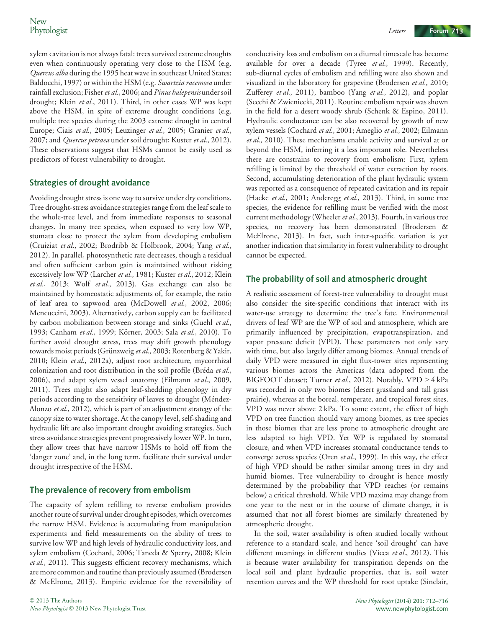xylem cavitation is not always fatal: trees survived extreme droughts even when continuously operating very close to the HSM (e.g. Quercus alba during the 1995 heat wave in southeast United States; Baldocchi, 1997) or within the HSM (e.g. Swartzia racemosa under rainfall exclusion; Fisher et al., 2006; and Pinus halepensis under soil drought; Klein et al., 2011). Third, in other cases WP was kept above the HSM, in spite of extreme drought conditions (e.g. multiple tree species during the 2003 extreme drought in central Europe; Ciais et al., 2005; Leuzinger et al., 2005; Granier et al., 2007; and *Quercus petraea* under soil drought; Kuster et al., 2012). These observations suggest that HSMs cannot be easily used as predictors of forest vulnerability to drought.

#### Strategies of drought avoidance

Avoiding drought stress is one way to survive under dry conditions. Tree drought-stress avoidance strategies range from the leaf scale to the whole-tree level, and from immediate responses to seasonal changes. In many tree species, when exposed to very low WP, stomata close to protect the xylem from developing embolism (Cruiziat et al., 2002; Brodribb & Holbrook, 2004; Yang et al., 2012). In parallel, photosynthetic rate decreases, though a residual and often sufficient carbon gain is maintained without risking excessively low WP (Larcher et al., 1981; Kuster et al., 2012; Klein et al., 2013; Wolf et al., 2013). Gas exchange can also be maintained by homeostatic adjustments of, for example, the ratio of leaf area to sapwood area (McDowell et al., 2002, 2006; Mencuccini, 2003). Alternatively, carbon supply can be facilitated by carbon mobilization between storage and sinks (Guehl et al., 1993; Canham et al., 1999; Körner, 2003; Sala et al., 2010). To further avoid drought stress, trees may shift growth phenology towards moist periods (Grünzweig et al., 2003; Rotenberg & Yakir, 2010; Klein et al., 2012a), adjust root architecture, mycorrhizal colonization and root distribution in the soil profile (Bréda et al., 2006), and adapt xylem vessel anatomy (Eilmann et al., 2009, 2011). Trees might also adapt leaf-shedding phenology in dry periods according to the sensitivity of leaves to drought (Méndez-Alonzo et al., 2012), which is part of an adjustment strategy of the canopy size to water shortage. At the canopy level, self-shading and hydraulic lift are also important drought avoiding strategies. Such stress avoidance strategies prevent progressively lower WP. In turn, they allow trees that have narrow HSMs to hold off from the 'danger zone' and, in the long term, facilitate their survival under drought irrespective of the HSM.

## The prevalence of recovery from embolism

The capacity of xylem refilling to reverse embolism provides another route of survival under drought episodes, which overcomes the narrow HSM. Evidence is accumulating from manipulation experiments and field measurements on the ability of trees to survive low WP and high levels of hydraulic conductivity loss, and xylem embolism (Cochard, 2006; Taneda & Sperry, 2008; Klein et al., 2011). This suggests efficient recovery mechanisms, which are more common and routine than previously assumed (Brodersen & McElrone, 2013). Empiric evidence for the reversibility of

conductivity loss and embolism on a diurnal timescale has become available for over a decade (Tyree et al., 1999). Recently, sub-diurnal cycles of embolism and refilling were also shown and visualized in the laboratory for grapevine (Brodersen et al., 2010; Zufferey et al., 2011), bamboo (Yang et al., 2012), and poplar (Secchi & Zwieniecki, 2011). Routine embolism repair was shown in the field for a desert woody shrub (Schenk & Espino, 2011). Hydraulic conductance can be also recovered by growth of new xylem vessels (Cochard et al., 2001; Ameglio et al., 2002; Eilmann et al., 2010). These mechanisms enable activity and survival at or beyond the HSM, inferring it a less important role. Nevertheless there are constrains to recovery from embolism: First, xylem refilling is limited by the threshold of water extraction by roots. Second, accumulating deterioration of the plant hydraulic system was reported as a consequence of repeated cavitation and its repair (Hacke et al., 2001; Anderegg et al., 2013). Third, in some tree species, the evidence for refilling must be verified with the most current methodology (Wheeler et al., 2013). Fourth, in various tree species, no recovery has been demonstrated (Brodersen & McElrone, 2013). In fact, such inter-specific variation is yet another indication that similarity in forest vulnerability to drought cannot be expected.

#### The probability of soil and atmospheric drought

A realistic assessment of forest-tree vulnerability to drought must also consider the site-specific conditions that interact with its water-use strategy to determine the tree's fate. Environmental drivers of leaf WP are the WP of soil and atmosphere, which are primarily influenced by precipitation, evapotranspiration, and vapor pressure deficit (VPD). These parameters not only vary with time, but also largely differ among biomes. Annual trends of daily VPD were measured in eight flux-tower sites representing various biomes across the Americas (data adopted from the BIGFOOT dataset; Turner et al., 2012). Notably, VPD > 4 kPa was recorded in only two biomes (desert grassland and tall grass prairie), whereas at the boreal, temperate, and tropical forest sites, VPD was never above 2 kPa. To some extent, the effect of high VPD on tree function should vary among biomes, as tree species in those biomes that are less prone to atmospheric drought are less adapted to high VPD. Yet WP is regulated by stomatal closure, and when VPD increases stomatal conductance tends to converge across species (Oren et al., 1999). In this way, the effect of high VPD should be rather similar among trees in dry and humid biomes. Tree vulnerability to drought is hence mostly determined by the probability that VPD reaches (or remains below) a critical threshold. While VPD maxima may change from one year to the next or in the course of climate change, it is assumed that not all forest biomes are similarly threatened by atmospheric drought.

In the soil, water availability is often studied locally without reference to a standard scale, and hence 'soil drought' can have different meanings in different studies (Vicca et al., 2012). This is because water availability for transpiration depends on the local soil and plant hydraulic properties, that is, soil water retention curves and the WP threshold for root uptake (Sinclair,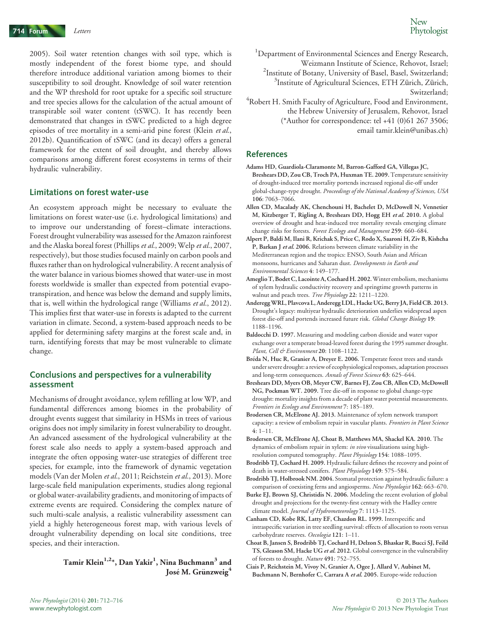

2005). Soil water retention changes with soil type, which is mostly independent of the forest biome type, and should therefore introduce additional variation among biomes to their susceptibility to soil drought. Knowledge of soil water retention and the WP threshold for root uptake for a specific soil structure and tree species allows for the calculation of the actual amount of transpirable soil water content (tSWC). It has recently been demonstrated that changes in tSWC predicted to a high degree episodes of tree mortality in a semi-arid pine forest (Klein et al., 2012b). Quantification of tSWC (and its decay) offers a general framework for the extent of soil drought, and thereby allows comparisons among different forest ecosystems in terms of their hydraulic vulnerability.

#### Limitations on forest water-use

An ecosystem approach might be necessary to evaluate the limitations on forest water-use (i.e. hydrological limitations) and to improve our understanding of forest–climate interactions. Forest drought vulnerability was assessed for the Amazon rainforest and the Alaska boreal forest (Phillips et al., 2009; Welp et al., 2007, respectively), but those studies focused mainly on carbon pools and fluxes rather than on hydrological vulnerability. A recent analysis of the water balance in various biomes showed that water-use in most forests worldwide is smaller than expected from potential evapotranspiration, and hence was below the demand and supply limits, that is, well within the hydrological range (Williams et al., 2012). This implies first that water-use in forests is adapted to the current variation in climate. Second, a system-based approach needs to be applied for determining safety margins at the forest scale and, in turn, identifying forests that may be most vulnerable to climate change.

#### Conclusions and perspectives for a vulnerability assessment

Mechanisms of drought avoidance, xylem refilling at low WP, and fundamental differences among biomes in the probability of drought events suggest that similarity in HSMs in trees of various origins does not imply similarity in forest vulnerability to drought. An advanced assessment of the hydrological vulnerability at the forest scale also needs to apply a system-based approach and integrate the often opposing water-use strategies of different tree species, for example, into the framework of dynamic vegetation models (Van der Molen et al., 2011; Reichstein et al., 2013). More large-scale field manipulation experiments, studies along regional or global water-availability gradients, and monitoring of impacts of extreme events are required. Considering the complex nature of such multi-scale analysis, a realistic vulnerability assessment can yield a highly heterogeneous forest map, with various levels of drought vulnerability depending on local site conditions, tree species, and their interaction.

#### Tamir Klein<sup>1,2</sup>\*, Dan Yakir<sup>1</sup>, Nina Buchmann<sup>3</sup> and José M. Grünzweig<sup>4</sup>

<sup>1</sup>Department of Environmental Sciences and Energy Research, Weizmann Institute of Science, Rehovot, Israel; <sup>2</sup> Institute of Botany, University of Basel, Basel, Switzerland; 3 Institute of Agricultural Sciences, ETH Zürich, Zürich, Switzerland;

4 Robert H. Smith Faculty of Agriculture, Food and Environment, the Hebrew University of Jerusalem, Rehovot, Israel (\*Author for correspondence: tel +41 (0)61 267 3506; email tamir.klein@unibas.ch)

#### References

- Adams HD, Guardiola-Claramonte M, Barron-Gafford GA, Villegas JC, Breshears DD, Zou CB, Troch PA, Huxman TE. 2009. Temperature sensitivity of drought-induced tree mortality portends increased regional die-off under global-change-type drought. Proceedings of the National Academy of Sciences, USA 106: 7063–7066.
- Allen CD, Macalady AK, Chenchouni H, Bachelet D, McDowell N, Vennetier M, Kitzberger T, Rigling A, Breshears DD, Hogg EH et al. 2010. A global overview of drought and heat-induced tree mortality reveals emerging climate change risks for forests. Forest Ecology and Management 259: 660-684.
- Alpert P, Baldi M, Ilani R, Krichak S, Price C, Rodo X, Saaroni H, Ziv B, Kishcha P, Barkan J et al. 2006. Relations between climate variability in the Mediterranean region and the tropics: ENSO, South Asian and African monsoons, hurricanes and Saharan dust. Developments in Earth and Environmental Sciences 4: 149–177.
- Ameglio T, BodetC, Lacointe A,Cochard H. 2002.Winter embolism, mechanisms of xylem hydraulic conductivity recovery and springtime growth patterns in walnut and peach trees. Tree Physiology 22: 1211-1220.
- AndereggWRL, Plavcova L, Anderegg LDL, Hacke UG, Berry JA, Field CB. 2013. Drought's legacy: multiyear hydraulic deterioration underlies widespread aspen forest die-off and portends increased future risk. Global Change Biology 19: 1188–1196.
- Baldocchi D. 1997. Measuring and modeling carbon dioxide and water vapor exchange over a temperate broad-leaved forest during the 1995 summer drought. Plant, Cell & Environment 20: 1108-1122.
- Bréda N, Huc R, Granier A, Dreyer E. 2006. Temperate forest trees and stands under severe drought: a review of ecophysiological responses, adaptation processes and long-term consequences. Annals of Forest Science 63: 625–644.
- Breshears DD, Myers OB, Meyer CW, Barnes FJ, Zou CB, Allen CD, McDowell NG, Pockman WT. 2009. Tree die-off in response to global change-type drought: mortality insights from a decade of plant water potential measurements. Frontiers in Ecology and Environment 7: 185–189.
- Brodersen CR, McElrone AJ. 2013. Maintenance of xylem network transport capacity: a review of embolism repair in vascular plants. Frontiers in Plant Science 4: 1–11.
- Brodersen CR, McElrone AJ, Choat B, Matthews MA, Shackel KA. 2010. The dynamics of embolism repair in xylem: in vivo visualizations using highresolution computed tomography. Plant Physiology 154: 1088–1095.
- Brodribb TJ, Cochard H. 2009. Hydraulic failure defines the recovery and point of death in water-stressed conifers. Plant Physiology 149: 575-584.
- Brodribb TJ, Holbrook NM. 2004. Stomatal protection against hydraulic failure: a comparison of coexisting ferns and angiosperms. New Phytologist 162: 663–670.
- Burke EJ, Brown SJ, Christidis N. 2006. Modeling the recent evolution of global drought and projections for the twenty-first century with the Hadley centre climate model. Journal of Hydrometeorology 7: 1113-1125.
- Canham CD, Kobe RK, Latty EF, Chazdon RL. 1999. Interspecific and intraspecific variation in tree seedling survival: effects of allocation to roots versus carbohydrate reserves. Oecologia 121: 1–11.
- Choat B, Jansen S, Brodribb TJ, Cochard H, Delzon S, Bhaskar R, Bucci SJ, Feild TS, Gleason SM, Hacke UG et al. 2012. Global convergence in the vulnerability of forests to drought. Nature 491: 752–755.
- Ciais P, Reichstein M, Vivoy N, Granier A, Ogee J, Allard V, Aubinet M, Buchmann N, Bernhofer C, Carrara A et al. 2005. Europe-wide reduction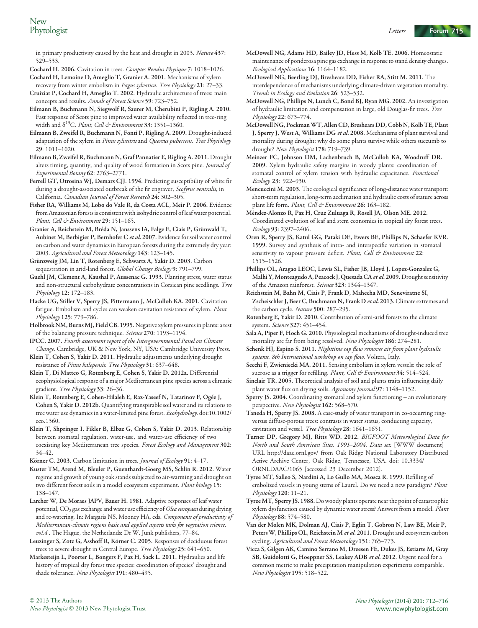in primary productivity caused by the heat and drought in 2003. Nature 437: 529–533.

- Cochard H. 2006. Cavitation in trees. Comptes Rendus Physique 7: 1018–1026.
- Cochard H, Lemoine D, Ameglio T, Granier A. 2001. Mechanisms of xylem recovery from winter embolism in Fagus sylvatica. Tree Physiology 21: 27–33.
- Cruiziat P, Cochard H, Ameglio T. 2002. Hydraulic architecture of trees: main concepts and results. Annals of Forest Science 59: 723–752.
- Eilmann B, Buchmann N, Siegwolf R, Saurer M, Cherubini P, Rigling A. 2010. Fast response of Scots pine to improved water availability reflected in tree-ring width and  $\delta^{13}$ C. Plant, Cell & Environment 33: 1351-1360.

Eilmann B, Zweifel R, Buchmann N, Fonti P, Rigling A. 2009. Drought-induced adaptation of the xylem in Pinus sylvestris and Quercus pubescens. Tree Physiology 29: 1011–1020.

Eilmann B, Zweifel R, Buchmann N, Graf Pannatier E, Rigling A. 2011. Drought alters timing, quantity, and quality of wood formation in Scots pine. Journal of Experimental Botany 62: 2763–2771.

Ferrell GT, Otrosina WJ, Demars CJJ. 1994. Predicting susceptibility of white fir during a drought-associated outbreak of the fir engraver, Scofyrus ventralis, in California. Canadian Journal of Forest Research 24: 302–305.

Fisher RA, Williams M, Lobo do Vale R, da Costa ACL, Meir P. 2006. Evidence from Amazonian forests is consistent with isohydric control of leaf water potential. Plant, Cell & Environment 29: 151-165.

Granier A, Reichstein M, Bréda N, Janssens IA, Falge E, Ciais P, Grünwald T, Aubinet M, Berbigier P, Bernhofer C et al. 2007. Evidence for soil water control on carbon and water dynamics in European forests during the extremely dry year: 2003. Agricultural and Forest Meteorology 143: 123–145.

Grünzweig JM, Lin T, Rotenberg E, Schwartz A, Yakir D. 2003. Carbon sequestration in arid-land forest. Global Change Biology 9: 791-799.

Guehl JM, Clement A, Kaushal P, Aussenac G. 1993. Planting stress, water status and non-structural carbohydrate concentrations in Corsican pine seedlings. Tree Physiology 12: 172–183.

Hacke UG, Stiller V, Sperry JS, Pittermann J, McCulloh KA. 2001. Cavitation fatigue. Embolism and cycles can weaken cavitation resistance of xylem. Plant Physiology 125: 779–786.

Holbrook NM, BurnsMJ, Field CB. 1995.Negative xylem pressures in plants: a test of the balancing pressure technique. Science 270: 1193–1194.

IPCC. 2007. Fourth assessment report of the Intergovernmental Panel on Climate Change. Cambridge, UK & New York, NY, USA: Cambridge University Press.

Klein T, Cohen S, Yakir D. 2011. Hydraulic adjustments underlying drought resistance of Pinus halepensis. Tree Physiology 31: 637–648.

Klein T, Di Matteo G, Rotenberg E, Cohen S, Yakir D. 2012a. Differential ecophysiological response of a major Mediterranean pine species across a climatic gradient. Tree Physiology 33: 26–36.

- Klein T, Rotenberg E, Cohen-Hilaleh E, Raz-Yaseef N, Tatarinov F, Ogée J, Cohen S, Yakir D. 2012b. Quantifying transpirable soil water and its relations to tree water use dynamics in a water-limited pine forest. Ecohydrology. doi:10.1002/ eco.1360.
- Klein T, Shpringer I, Fikler B, Elbaz G, Cohen S, Yakir D. 2013. Relationship between stomatal regulation, water-use, and water-use efficiency of two coexisting key Mediterranean tree species. Forest Ecology and Management 302: 34–42.

Körner C. 2003. Carbon limitation in trees. Journal of Ecology 91: 4-17.

- Kuster TM, Arend M, Bleuler P, Guenthardt-Goerg MS, Schlin R. 2012. Water regime and growth of young oak stands subjected to air-warming and drought on two different forest soils in a model ecosystem experiment. Plant biology 15: 138–147.
- Larcher W, De Moraes JAPV, Bauer H. 1981. Adaptive responses of leaf water potential, CO<sub>2</sub> gas exchange and water use efficiency of Olea europaea during drying and re-watering. In: Margaris NS, Mooney HA, eds. Components of productivity of Mediterranean-climate regions basic and applied aspects tasks for vegetation science, vol.4 . The Hague, the Netherlands: Dr W. Junk publishers, 77–84.

Leuzinger S, Zotz G, Asshoff R, Körner C. 2005. Responses of deciduous forest trees to severe drought in Central Europe. Tree Physiology 25: 641–650.

Markesteijn L, Poorter L, Bongers F, Paz H, Sack L. 2011. Hydraulics and life history of tropical dry forest tree species: coordination of species' drought and shade tolerance. New Phytologist 191: 480-495.

- McDowell NG, Adams HD, Bailey JD, Hess M, Kolb TE. 2006. Homeostatic maintenance of ponderosa pine gas exchange in response to stand density changes. Ecological Applications 16: 1164–1182.
- McDowell NG, Beerling DJ, Breshears DD, Fisher RA, Stitt M. 2011. The interdependence of mechanisms underlying climate-driven vegetation mortality. Trends in Ecology and Evolution 26: 523–532.

McDowell NG, Phillips N, Lunch C, Bond BJ, Ryan MG. 2002. An investigation of hydraulic limitation and compensation in large, old Douglas-fir trees. Tree Physiology 22: 673–774.

McDowell NG, PockmanWT, Allen CD, Breshears DD, Cobb N, Kolb TE, Plaut J, Sperry J, West A, Williams DG et al. 2008. Mechanisms of plant survival and mortality during drought: why do some plants survive while others succumb to drought? New Phytologist 178: 719-739.

Meinzer FC, Johnson DM, Lachenbruch B, McCulloh KA, Woodruff DR. 2009. Xylem hydraulic safety margins in woody plants: coordination of stomatal control of xylem tension with hydraulic capacitance. Functional Ecology 23: 922–930.

Mencuccini M. 2003. The ecological significance of long-distance water transport: short-term regulation, long-term acclimation and hydraulic costs of stature across plant life form. Plant, Cell & Environment 26: 163-182.

Mendez-Alonzo R, Paz H, Cruz Zuluaga R, Rosell JA, Olson ME. 2012. Coordinated evolution of leaf and stem economics in tropical dry forest trees. Ecology 93: 2397–2406.

Oren R, Sperry JS, Katul GG, Pataki DE, Ewers BE, Phillips N, Schaefer KVR. 1999. Survey and synthesis of intra- and interspecific variation in stomatal sensitivity to vapour pressure deficit. Plant, Cell & Environment 22: 1515–1526.

Phillips OL, Aragao LEOC, Lewis SL, Fisher JB, Lloyd J, Lopez-Gonzalez G, Malhi Y, Monteagudo A, Peacock J, Quesada CA et al. 2009. Drought sensitivity of the Amazon rainforest. Science 323: 1344–1347.

Reichstein M, Bahn M, Ciais P, Frank D, Mahecha MD, Seneviratne SI, Zscheischler J, Beer C, Buchmann N, Frank D et al. 2013. Climate extremes and the carbon cycle. Nature 500: 287–295.

Rotenberg E, Yakir D. 2010. Contribution of semi-arid forests to the climate system. Science 327: 451–454.

Sala A, Piper F, Hoch G. 2010. Physiological mechanisms of drought-induced tree mortality are far from being resolved. New Phytologist 186: 274–281.

Schenk HJ, Espino S. 2011. Nighttime sap flow removes air from plant hydraulic systems. 8th International workshop on sap flow. Voltera, Italy.

Secchi F, Zwieniecki MA. 2011. Sensing embolism in xylem vessels: the role of sucrose as a trigger for refilling. Plant, Cell & Environment 34: 514-524.

Sinclair TR. 2005. Theoretical analysis of soil and plants traits influencing daily plant water flux on drying soils. Agronomy Journal 97: 1148–1152.

Sperry JS. 2004. Coordinating stomatal and xylem functioning – an evolutionary perspective. New Phytologist 162: 568-570.

Taneda H, Sperry JS. 2008. A case-study of water transport in co-occurring ringversus diffuse-porous trees: contrasts in water status, conducting capacity, cavitation and vessel. Tree Physiology 28: 1641–1651.

- Turner DP, Gregory MJ, Ritts WD. 2012. BIGFOOT Meteorological Data for North and South American Sites, 1991–2004. Data set. [WWW document] URL http://daac.ornl.gov/ from Oak Ridge National Laboratory Distributed Active Archive Center, Oak Ridge, Tennessee, USA. doi: 10.3334/ ORNLDAAC/1065 [accessed 23 December 2012].
- Tyree MT, Salleo S, Nardini A, Lo Gullo MA, Mosca R. 1999. Refilling of embolized vessels in young stems of Laurel. Do we need a new paradigm? Plant Physiology 120: 11–21.
- Tyree MT, Sperry JS. 1988. Do woody plants operate near the point of catastrophic xylem dysfunction caused by dynamic water stress? Answers from a model. Plant Physiology 88: 574–580.
- Van der Molen MK, Dolman AJ, Ciais P, Eglin T, Gobron N, Law BE, Meir P, Peters W, Phillips OL, Reichstein M et al. 2011. Drought and ecosystem carbon cycling. Agricultural and Forest Meteorology 151: 765–773.
- Vicca S, Gilgen AK, Camino Serrano M, Dreesen FE, Dukes JS, Estiarte M, Gray SB, Guidolotti G, Hoeppner SS, Leakey ADB et al. 2012. Urgent need for a common metric to make precipitation manipulation experiments comparable. New Phytologist 195: 518–522.